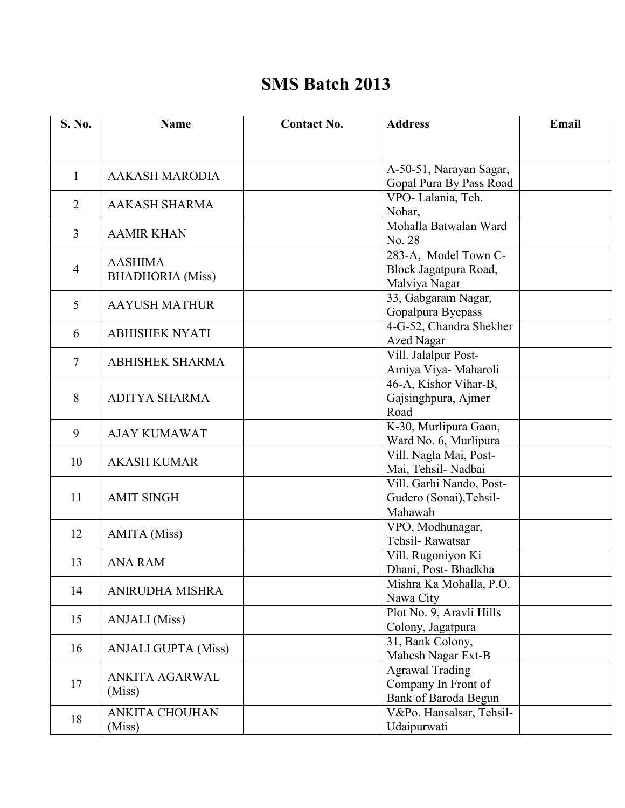## **SMS Batch 2013**

| S. No.         | <b>Name</b>                | <b>Contact No.</b> | <b>Address</b>                          | Email |
|----------------|----------------------------|--------------------|-----------------------------------------|-------|
|                |                            |                    |                                         |       |
|                |                            |                    | A-50-51, Narayan Sagar,                 |       |
| 1              | <b>AAKASH MARODIA</b>      |                    | Gopal Pura By Pass Road                 |       |
| 2              | <b>AAKASH SHARMA</b>       |                    | VPO-Lalania, Teh.                       |       |
|                |                            |                    | Nohar,                                  |       |
| 3              | <b>AAMIR KHAN</b>          |                    | Mohalla Batwalan Ward                   |       |
|                |                            |                    | No. 28                                  |       |
|                | <b>AASHIMA</b>             |                    | 283-A, Model Town C-                    |       |
| $\overline{4}$ | <b>BHADHORIA</b> (Miss)    |                    | Block Jagatpura Road,<br>Malviya Nagar  |       |
|                |                            |                    | 33, Gabgaram Nagar,                     |       |
| 5              | <b>AAYUSH MATHUR</b>       |                    | Gopalpura Byepass                       |       |
|                |                            |                    | 4-G-52, Chandra Shekher                 |       |
| 6              | <b>ABHISHEK NYATI</b>      |                    | <b>Azed Nagar</b>                       |       |
|                |                            |                    | Vill. Jalalpur Post-                    |       |
| $\overline{7}$ | <b>ABHISHEK SHARMA</b>     |                    | Arniya Viya- Maharoli                   |       |
|                |                            |                    | 46-A, Kishor Vihar-B,                   |       |
| 8              | <b>ADITYA SHARMA</b>       |                    | Gajsinghpura, Ajmer                     |       |
|                |                            |                    | Road                                    |       |
| 9              | <b>AJAY KUMAWAT</b>        |                    | K-30, Murlipura Gaon,                   |       |
|                |                            |                    | Ward No. 6, Murlipura                   |       |
| 10             | <b>AKASH KUMAR</b>         |                    | Vill. Nagla Mai, Post-                  |       |
|                |                            |                    | Mai, Tehsil- Nadbai                     |       |
| 11             |                            |                    | Vill. Garhi Nando, Post-                |       |
|                | <b>AMIT SINGH</b>          |                    | Gudero (Sonai), Tehsil-<br>Mahawah      |       |
|                |                            |                    | VPO, Modhunagar,                        |       |
| 12             | <b>AMITA</b> (Miss)        |                    | Tehsil-Rawatsar                         |       |
|                |                            |                    | Vill. Rugoniyon Ki                      |       |
| 13             | <b>ANA RAM</b>             |                    | Dhani, Post-Bhadkha                     |       |
|                |                            |                    | Mishra Ka Mohalla, P.O.                 |       |
| 14             | ANIRUDHA MISHRA            |                    | Nawa City                               |       |
| 15             | <b>ANJALI</b> (Miss)       |                    | Plot No. 9, Aravli Hills                |       |
|                |                            |                    | Colony, Jagatpura                       |       |
| 16             | <b>ANJALI GUPTA (Miss)</b> |                    | 31, Bank Colony,                        |       |
|                |                            |                    | Mahesh Nagar Ext-B                      |       |
|                | ANKITA AGARWAL<br>(Miss)   |                    | <b>Agrawal Trading</b>                  |       |
| 17             |                            |                    | Company In Front of                     |       |
|                |                            |                    | Bank of Baroda Begun                    |       |
| 18             | ANKITA CHOUHAN<br>(Miss)   |                    | V&Po. Hansalsar, Tehsil-<br>Udaipurwati |       |
|                |                            |                    |                                         |       |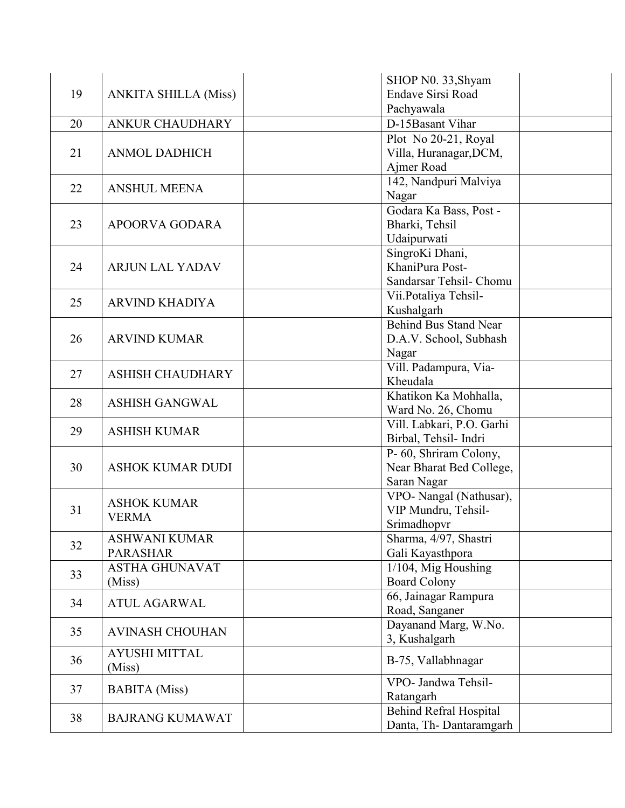| 19 | <b>ANKITA SHILLA (Miss)</b> | SHOP N0. 33, Shyam            |  |
|----|-----------------------------|-------------------------------|--|
|    |                             | <b>Endave Sirsi Road</b>      |  |
|    |                             | Pachyawala                    |  |
| 20 | <b>ANKUR CHAUDHARY</b>      | D-15Basant Vihar              |  |
|    |                             | Plot No 20-21, Royal          |  |
| 21 | <b>ANMOL DADHICH</b>        | Villa, Huranagar, DCM,        |  |
|    |                             | Ajmer Road                    |  |
| 22 | <b>ANSHUL MEENA</b>         | 142, Nandpuri Malviya         |  |
|    |                             | Nagar                         |  |
|    |                             | Godara Ka Bass, Post -        |  |
| 23 | APOORVA GODARA              | Bharki, Tehsil                |  |
|    |                             | Udaipurwati                   |  |
|    |                             | SingroKi Dhani,               |  |
| 24 | <b>ARJUN LAL YADAV</b>      | KhaniPura Post-               |  |
|    |                             | Sandarsar Tehsil- Chomu       |  |
| 25 | <b>ARVIND KHADIYA</b>       | Vii.Potaliya Tehsil-          |  |
|    |                             | Kushalgarh                    |  |
|    |                             | <b>Behind Bus Stand Near</b>  |  |
| 26 | <b>ARVIND KUMAR</b>         | D.A.V. School, Subhash        |  |
|    |                             | Nagar                         |  |
| 27 | <b>ASHISH CHAUDHARY</b>     | Vill. Padampura, Via-         |  |
|    |                             | Kheudala                      |  |
| 28 | <b>ASHISH GANGWAL</b>       | Khatikon Ka Mohhalla,         |  |
|    |                             | Ward No. 26, Chomu            |  |
| 29 | <b>ASHISH KUMAR</b>         | Vill. Labkari, P.O. Garhi     |  |
|    |                             | Birbal, Tehsil- Indri         |  |
|    | <b>ASHOK KUMAR DUDI</b>     | P- 60, Shriram Colony,        |  |
| 30 |                             | Near Bharat Bed College,      |  |
|    |                             | Saran Nagar                   |  |
|    | <b>ASHOK KUMAR</b>          | VPO- Nangal (Nathusar),       |  |
| 31 | <b>VERMA</b>                | VIP Mundru, Tehsil-           |  |
|    |                             | Srimadhopvr                   |  |
| 32 | <b>ASHWANI KUMAR</b>        | Sharma, 4/97, Shastri         |  |
|    | <b>PARASHAR</b>             | Gali Kayasthpora              |  |
| 33 | <b>ASTHA GHUNAVAT</b>       | $1/104$ , Mig Houshing        |  |
|    | (Miss)                      | <b>Board Colony</b>           |  |
| 34 | <b>ATUL AGARWAL</b>         | 66, Jainagar Rampura          |  |
|    |                             | Road, Sanganer                |  |
| 35 | <b>AVINASH CHOUHAN</b>      | Dayanand Marg, W.No.          |  |
|    |                             | 3, Kushalgarh                 |  |
| 36 | <b>AYUSHI MITTAL</b>        | B-75, Vallabhnagar            |  |
|    | (Miss)                      |                               |  |
| 37 | <b>BABITA</b> (Miss)        | VPO- Jandwa Tehsil-           |  |
|    |                             | Ratangarh                     |  |
| 38 | <b>BAJRANG KUMAWAT</b>      | <b>Behind Refral Hospital</b> |  |
|    |                             | Danta, Th-Dantaramgarh        |  |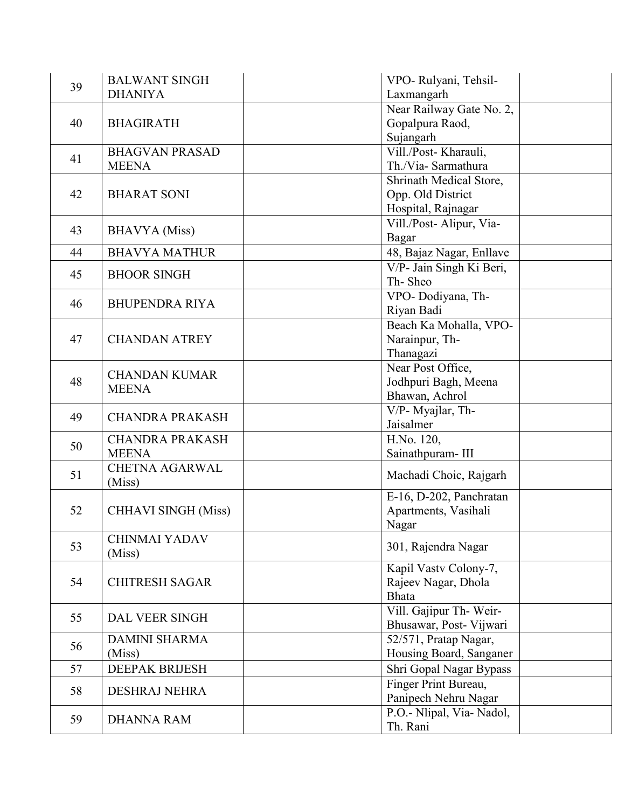| 39 | <b>BALWANT SINGH</b>                 | VPO- Rulyani, Tehsil-     |
|----|--------------------------------------|---------------------------|
|    | <b>DHANIYA</b>                       | Laxmangarh                |
| 40 |                                      | Near Railway Gate No. 2,  |
|    | <b>BHAGIRATH</b>                     | Gopalpura Raod,           |
|    |                                      | Sujangarh                 |
|    | <b>BHAGVAN PRASAD</b>                | Vill./Post-Kharauli,      |
| 41 | <b>MEENA</b>                         | Th./Via-Sarmathura        |
|    |                                      | Shrinath Medical Store,   |
| 42 | <b>BHARAT SONI</b>                   | Opp. Old District         |
|    |                                      | Hospital, Rajnagar        |
|    |                                      | Vill./Post-Alipur, Via-   |
| 43 | <b>BHAVYA</b> (Miss)                 | Bagar                     |
| 44 | <b>BHAVYA MATHUR</b>                 | 48, Bajaz Nagar, Enllave  |
|    |                                      | V/P- Jain Singh Ki Beri,  |
| 45 | <b>BHOOR SINGH</b>                   | Th-Sheo                   |
|    |                                      | VPO-Dodiyana, Th-         |
| 46 | <b>BHUPENDRA RIYA</b>                | Riyan Badi                |
|    |                                      | Beach Ka Mohalla, VPO-    |
| 47 | <b>CHANDAN ATREY</b>                 | Narainpur, Th-            |
|    |                                      | Thanagazi                 |
|    | <b>CHANDAN KUMAR</b><br><b>MEENA</b> | Near Post Office,         |
| 48 |                                      | Jodhpuri Bagh, Meena      |
|    |                                      | Bhawan, Achrol            |
|    | <b>CHANDRA PRAKASH</b>               | V/P- Myajlar, Th-         |
| 49 |                                      | Jaisalmer                 |
|    | <b>CHANDRA PRAKASH</b>               | H.No. 120,                |
| 50 | <b>MEENA</b>                         | Sainathpuram-III          |
| 51 | <b>CHETNA AGARWAL</b>                |                           |
|    | (Miss)                               | Machadi Choic, Rajgarh    |
|    |                                      | E-16, D-202, Panchratan   |
| 52 | <b>CHHAVI SINGH (Miss)</b>           | Apartments, Vasihali      |
|    |                                      | Nagar                     |
| 53 | <b>CHINMAI YADAV</b>                 | 301, Rajendra Nagar       |
|    | (Miss)                               |                           |
|    |                                      | Kapil Vastv Colony-7,     |
| 54 | <b>CHITRESH SAGAR</b>                | Rajeev Nagar, Dhola       |
|    |                                      | <b>Bhata</b>              |
| 55 | <b>DAL VEER SINGH</b>                | Vill. Gajipur Th-Weir-    |
|    |                                      | Bhusawar, Post-Vijwari    |
| 56 | <b>DAMINI SHARMA</b>                 | 52/571, Pratap Nagar,     |
|    | (Miss)                               | Housing Board, Sanganer   |
| 57 | <b>DEEPAK BRIJESH</b>                | Shri Gopal Nagar Bypass   |
| 58 | <b>DESHRAJ NEHRA</b>                 | Finger Print Bureau,      |
|    |                                      | Panipech Nehru Nagar      |
| 59 | <b>DHANNA RAM</b>                    | P.O.- Nlipal, Via- Nadol, |
|    |                                      | Th. Rani                  |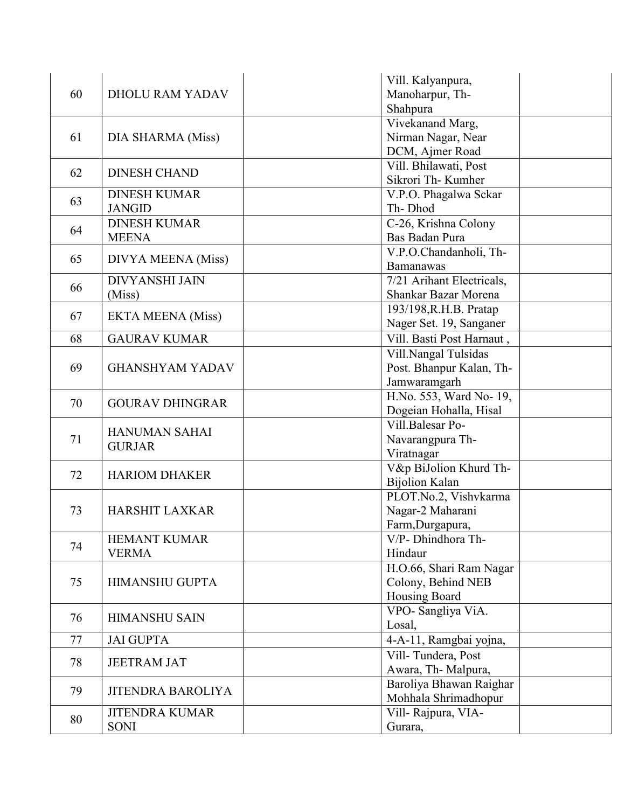|    |                           | Vill. Kalyanpura,         |
|----|---------------------------|---------------------------|
| 60 | <b>DHOLU RAM YADAV</b>    | Manoharpur, Th-           |
|    |                           | Shahpura                  |
|    |                           | Vivekanand Marg,          |
| 61 | DIA SHARMA (Miss)         | Nirman Nagar, Near        |
|    |                           | DCM, Ajmer Road           |
|    |                           | Vill. Bhilawati, Post     |
| 62 | <b>DINESH CHAND</b>       | Sikrori Th- Kumher        |
|    | <b>DINESH KUMAR</b>       | V.P.O. Phagalwa Sckar     |
| 63 | <b>JANGID</b>             | Th-Dhod                   |
|    | <b>DINESH KUMAR</b>       | C-26, Krishna Colony      |
| 64 | <b>MEENA</b>              | Bas Badan Pura            |
|    |                           | V.P.O.Chandanholi, Th-    |
| 65 | <b>DIVYA MEENA</b> (Miss) | <b>Bamanawas</b>          |
|    | <b>DIVYANSHI JAIN</b>     | 7/21 Arihant Electricals, |
| 66 | (Miss)                    | Shankar Bazar Morena      |
|    |                           | 193/198, R.H.B. Pratap    |
| 67 | <b>EKTA MEENA (Miss)</b>  | Nager Set. 19, Sanganer   |
| 68 | <b>GAURAV KUMAR</b>       | Vill. Basti Post Harnaut, |
|    |                           | Vill.Nangal Tulsidas      |
| 69 | <b>GHANSHYAM YADAV</b>    | Post. Bhanpur Kalan, Th-  |
|    |                           | Jamwaramgarh              |
|    | <b>GOURAV DHINGRAR</b>    | H.No. 553, Ward No- 19,   |
| 70 |                           | Dogeian Hohalla, Hisal    |
|    |                           | Vill.Balesar Po-          |
| 71 | <b>HANUMAN SAHAI</b>      | Navarangpura Th-          |
|    | <b>GURJAR</b>             | Viratnagar                |
|    |                           | V&p BiJolion Khurd Th-    |
| 72 | <b>HARIOM DHAKER</b>      | <b>Bijolion Kalan</b>     |
|    |                           | PLOT.No.2, Vishvkarma     |
| 73 | <b>HARSHIT LAXKAR</b>     | Nagar-2 Maharani          |
|    |                           | Farm, Durgapura,          |
|    | <b>HEMANT KUMAR</b>       | V/P- Dhindhora Th-        |
| 74 | <b>VERMA</b>              | Hindaur                   |
|    |                           | H.O.66, Shari Ram Nagar   |
| 75 | <b>HIMANSHU GUPTA</b>     | Colony, Behind NEB        |
|    |                           | Housing Board             |
| 76 |                           | VPO- Sangliya ViA.        |
|    | <b>HIMANSHU SAIN</b>      | Losal,                    |
| 77 | <b>JAI GUPTA</b>          | 4-A-11, Ramgbai yojna,    |
|    |                           | Vill-Tundera, Post        |
| 78 | <b>JEETRAM JAT</b>        | Awara, Th-Malpura,        |
| 79 | <b>JITENDRA BAROLIYA</b>  | Baroliya Bhawan Raighar   |
|    |                           | Mohhala Shrimadhopur      |
| 80 | <b>JITENDRA KUMAR</b>     | Vill-Rajpura, VIA-        |
|    | <b>SONI</b>               | Gurara,                   |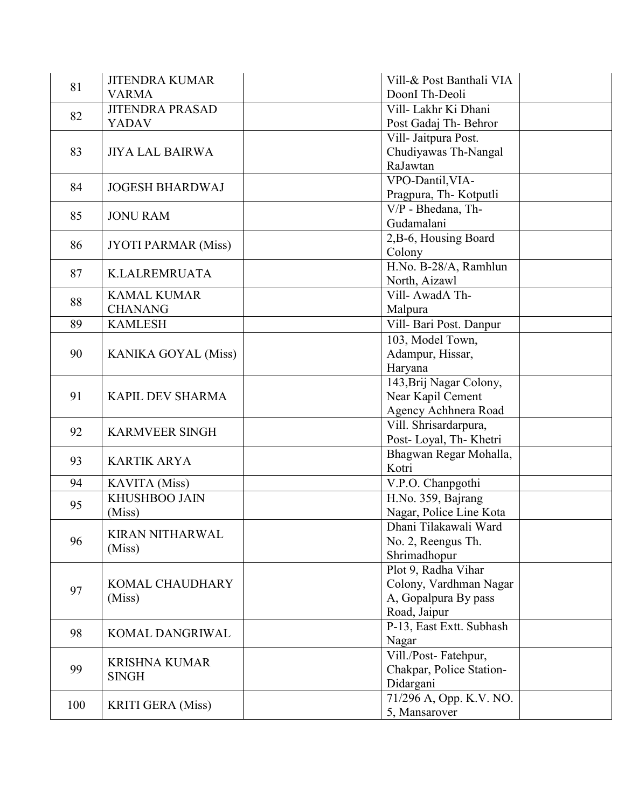| 81  | <b>JITENDRA KUMAR</b>            | Vill-& Post Banthali VIA        |
|-----|----------------------------------|---------------------------------|
|     | <b>VARMA</b>                     | DoonI Th-Deoli                  |
| 82  | <b>JITENDRA PRASAD</b>           | Vill- Lakhr Ki Dhani            |
|     | <b>YADAV</b>                     | Post Gadaj Th-Behror            |
|     |                                  | Vill- Jaitpura Post.            |
| 83  | <b>JIYA LAL BAIRWA</b>           | Chudiyawas Th-Nangal            |
|     |                                  | RaJawtan                        |
| 84  | <b>JOGESH BHARDWAJ</b>           | VPO-Dantil, VIA-                |
|     |                                  | Pragpura, Th-Kotputli           |
| 85  | <b>JONU RAM</b>                  | $\overline{V/P}$ - Bhedana, Th- |
|     |                                  | Gudamalani                      |
| 86  |                                  | 2, B-6, Housing Board           |
|     | <b>JYOTI PARMAR (Miss)</b>       | Colony                          |
| 87  | <b>K.LALREMRUATA</b>             | H.No. B-28/A, Ramhlun           |
|     |                                  | North, Aizawl                   |
| 88  | <b>KAMAL KUMAR</b>               | Vill-AwadA Th-                  |
|     | <b>CHANANG</b>                   | Malpura                         |
| 89  | <b>KAMLESH</b>                   | Vill- Bari Post. Danpur         |
|     |                                  | 103, Model Town,                |
| 90  | <b>KANIKA GOYAL (Miss)</b>       | Adampur, Hissar,                |
|     |                                  | Haryana                         |
|     |                                  | 143, Brij Nagar Colony,         |
| 91  | <b>KAPIL DEV SHARMA</b>          | Near Kapil Cement               |
|     |                                  | Agency Achhnera Road            |
| 92  | <b>KARMVEER SINGH</b>            | Vill. Shrisardarpura,           |
|     |                                  | Post-Loyal, Th-Khetri           |
| 93  | <b>KARTIK ARYA</b>               | Bhagwan Regar Mohalla,          |
|     |                                  | Kotri                           |
| 94  | <b>KAVITA</b> (Miss)             | V.P.O. Chanpgothi               |
| 95  | KHUSHBOO JAIN                    | H.No. 359, Bajrang              |
|     | (Miss)                           | Nagar, Police Line Kota         |
|     | <b>KIRAN NITHARWAL</b><br>(Miss) | Dhani Tilakawali Ward           |
| 96  |                                  | No. 2, Reengus Th.              |
|     |                                  | Shrimadhopur                    |
|     |                                  | Plot 9, Radha Vihar             |
| 97  | KOMAL CHAUDHARY                  | Colony, Vardhman Nagar          |
|     | (Miss)                           | A, Gopalpura By pass            |
|     |                                  | Road, Jaipur                    |
| 98  | KOMAL DANGRIWAL                  | P-13, East Extt. Subhash        |
|     |                                  | Nagar                           |
|     | <b>KRISHNA KUMAR</b>             | Vill./Post-Fatehpur,            |
| 99  | <b>SINGH</b>                     | Chakpar, Police Station-        |
|     |                                  | Didargani                       |
| 100 | <b>KRITI GERA</b> (Miss)         | 71/296 A, Opp. K.V. NO.         |
|     |                                  | 5, Mansarover                   |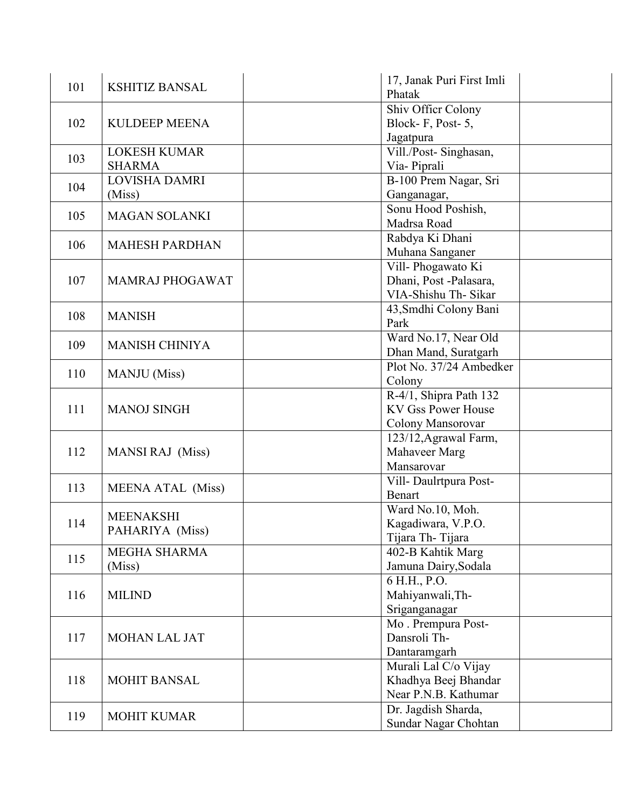| 101 | <b>KSHITIZ BANSAL</b>    | 17, Janak Puri First Imli |
|-----|--------------------------|---------------------------|
|     |                          | Phatak                    |
| 102 |                          | Shiv Officr Colony        |
|     | <b>KULDEEP MEENA</b>     | Block-F, Post-5,          |
|     |                          | Jagatpura                 |
|     | <b>LOKESH KUMAR</b>      | Vill./Post-Singhasan,     |
| 103 | <b>SHARMA</b>            | Via-Piprali               |
|     | LOVISHA DAMRI            | B-100 Prem Nagar, Sri     |
| 104 | (Miss)                   | Ganganagar,               |
|     |                          | Sonu Hood Poshish,        |
| 105 | <b>MAGAN SOLANKI</b>     | Madrsa Road               |
|     |                          | Rabdya Ki Dhani           |
| 106 | <b>MAHESH PARDHAN</b>    | Muhana Sanganer           |
|     |                          | Vill-Phogawato Ki         |
| 107 | MAMRAJ PHOGAWAT          | Dhani, Post-Palasara,     |
|     |                          | VIA-Shishu Th- Sikar      |
|     |                          | 43, Smdhi Colony Bani     |
| 108 | <b>MANISH</b>            | Park                      |
|     |                          | Ward No.17, Near Old      |
| 109 | <b>MANISH CHINIYA</b>    | Dhan Mand, Suratgarh      |
|     | <b>MANJU</b> (Miss)      | Plot No. 37/24 Ambedker   |
| 110 |                          | Colony                    |
|     |                          | R-4/1, Shipra Path 132    |
| 111 | <b>MANOJ SINGH</b>       | <b>KV Gss Power House</b> |
|     |                          | Colony Mansorovar         |
|     | <b>MANSI RAJ</b> (Miss)  | 123/12, Agrawal Farm,     |
| 112 |                          | Mahaveer Marg             |
|     |                          | Mansarovar                |
|     |                          | Vill-Daulrtpura Post-     |
| 113 | <b>MEENA ATAL (Miss)</b> | <b>Benart</b>             |
|     |                          | Ward No.10, Moh.          |
| 114 | <b>MEENAKSHI</b>         | Kagadiwara, V.P.O.        |
|     | PAHARIYA (Miss)          | Tijara Th-Tijara          |
|     | <b>MEGHA SHARMA</b>      | 402-B Kahtik Marg         |
| 115 | (Miss)                   | Jamuna Dairy, Sodala      |
|     |                          | 6 H.H., P.O.              |
| 116 | <b>MILIND</b>            | Mahiyanwali, Th-          |
|     |                          | Sriganganagar             |
|     |                          | Mo. Prempura Post-        |
| 117 | <b>MOHAN LAL JAT</b>     | Dansroli Th-              |
|     |                          | Dantaramgarh              |
|     |                          |                           |
|     |                          | Murali Lal C/o Vijay      |
| 118 | <b>MOHIT BANSAL</b>      | Khadhya Beej Bhandar      |
|     |                          | Near P.N.B. Kathumar      |
| 119 | <b>MOHIT KUMAR</b>       | Dr. Jagdish Sharda,       |
|     |                          | Sundar Nagar Chohtan      |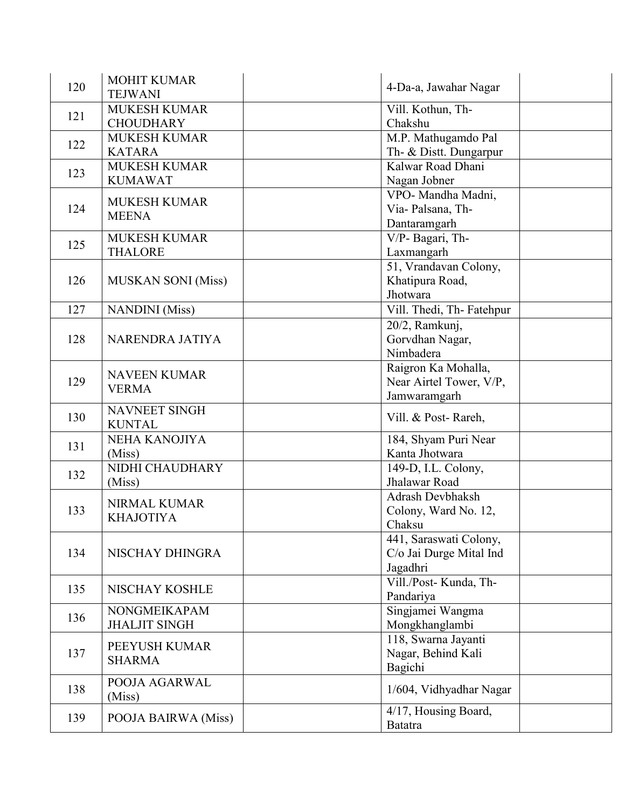| 120 | <b>MOHIT KUMAR</b><br><b>TEJWANI</b>  | 4-Da-a, Jawahar Nagar                         |  |
|-----|---------------------------------------|-----------------------------------------------|--|
| 121 | <b>MUKESH KUMAR</b>                   | Vill. Kothun, Th-                             |  |
|     | <b>CHOUDHARY</b>                      | Chakshu                                       |  |
| 122 | <b>MUKESH KUMAR</b><br><b>KATARA</b>  | M.P. Mathugamdo Pal<br>Th- & Distt. Dungarpur |  |
|     | <b>MUKESH KUMAR</b>                   | Kalwar Road Dhani                             |  |
| 123 | <b>KUMAWAT</b>                        | Nagan Jobner                                  |  |
|     | <b>MUKESH KUMAR</b>                   | VPO- Mandha Madni,                            |  |
| 124 | <b>MEENA</b>                          | Via-Palsana, Th-                              |  |
|     |                                       | Dantaramgarh                                  |  |
| 125 | <b>MUKESH KUMAR</b>                   | V/P- Bagari, Th-                              |  |
|     | <b>THALORE</b>                        | Laxmangarh                                    |  |
|     |                                       | 51, Vrandavan Colony,                         |  |
| 126 | <b>MUSKAN SONI</b> (Miss)             | Khatipura Road,                               |  |
|     |                                       | Jhotwara                                      |  |
| 127 | <b>NANDINI</b> (Miss)                 | Vill. Thedi, Th-Fatehpur                      |  |
|     |                                       | 20/2, Ramkunj,                                |  |
| 128 | NARENDRA JATIYA                       | Gorvdhan Nagar,                               |  |
|     |                                       | Nimbadera                                     |  |
|     |                                       | Raigron Ka Mohalla,                           |  |
| 129 | <b>NAVEEN KUMAR</b>                   | Near Airtel Tower, V/P,                       |  |
|     | <b>VERMA</b>                          | Jamwaramgarh                                  |  |
| 130 | <b>NAVNEET SINGH</b><br><b>KUNTAL</b> | Vill. & Post-Rareh,                           |  |
|     | <b>NEHA KANOJIYA</b>                  | 184, Shyam Puri Near                          |  |
| 131 | (Miss)                                | Kanta Jhotwara                                |  |
|     | NIDHI CHAUDHARY                       | 149-D, I.L. Colony,                           |  |
| 132 | (Miss)                                | Jhalawar Road                                 |  |
|     |                                       | <b>Adrash Devbhaksh</b>                       |  |
| 133 | <b>NIRMAL KUMAR</b>                   | Colony, Ward No. 12,                          |  |
|     | <b>KHAJOTIYA</b>                      | Chaksu                                        |  |
|     |                                       | 441, Saraswati Colony,                        |  |
| 134 | NISCHAY DHINGRA                       | C/o Jai Durge Mital Ind                       |  |
|     |                                       | Jagadhri                                      |  |
|     |                                       | Vill./Post-Kunda, Th-                         |  |
| 135 | NISCHAY KOSHLE                        | Pandariya                                     |  |
|     | NONGMEIKAPAM                          | Singjamei Wangma                              |  |
| 136 | <b>JHALJIT SINGH</b>                  | Mongkhanglambi                                |  |
|     |                                       | 118, Swarna Jayanti                           |  |
| 137 | PEEYUSH KUMAR                         | Nagar, Behind Kali                            |  |
|     | <b>SHARMA</b>                         | Bagichi                                       |  |
|     | POOJA AGARWAL                         |                                               |  |
| 138 | (Miss)                                | 1/604, Vidhyadhar Nagar                       |  |
|     |                                       |                                               |  |
| 139 | POOJA BAIRWA (Miss)                   | 4/17, Housing Board,                          |  |
|     |                                       | <b>Batatra</b>                                |  |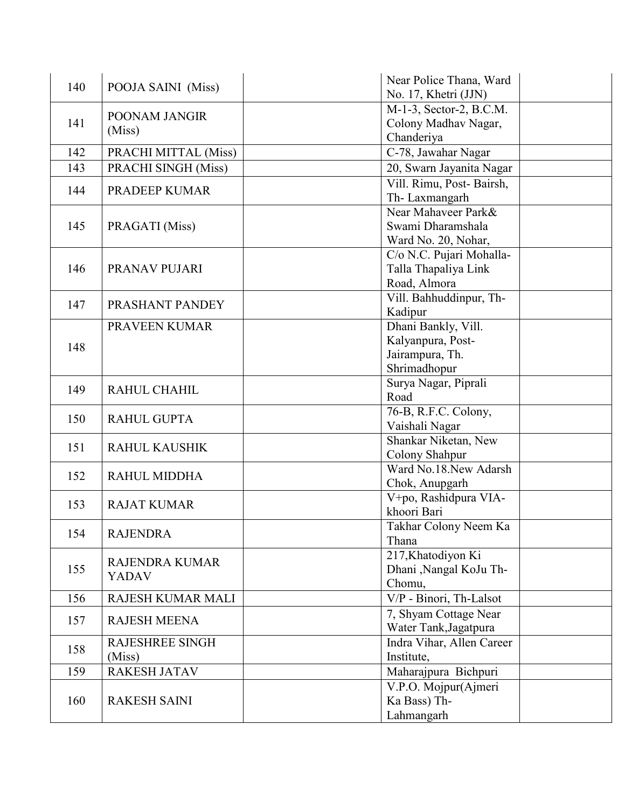| 140 | POOJA SAINI (Miss)     | Near Police Thana, Ward   |
|-----|------------------------|---------------------------|
|     |                        | No. 17, Khetri (JJN)      |
| 141 | POONAM JANGIR          | M-1-3, Sector-2, B.C.M.   |
|     |                        | Colony Madhav Nagar,      |
|     | (Miss)                 | Chanderiya                |
| 142 | PRACHI MITTAL (Miss)   | C-78, Jawahar Nagar       |
| 143 | PRACHI SINGH (Miss)    | 20, Swarn Jayanita Nagar  |
| 144 | PRADEEP KUMAR          | Vill. Rimu, Post-Bairsh,  |
|     |                        | Th-Laxmangarh             |
|     |                        | Near Mahaveer Park&       |
| 145 | PRAGATI (Miss)         | Swami Dharamshala         |
|     |                        | Ward No. 20, Nohar,       |
|     |                        | C/o N.C. Pujari Mohalla-  |
| 146 | PRANAV PUJARI          | Talla Thapaliya Link      |
|     |                        | Road, Almora              |
| 147 | PRASHANT PANDEY        | Vill. Bahhuddinpur, Th-   |
|     |                        | Kadipur                   |
|     | PRAVEEN KUMAR          | Dhani Bankly, Vill.       |
| 148 |                        | Kalyanpura, Post-         |
|     |                        | Jairampura, Th.           |
|     |                        | Shrimadhopur              |
| 149 | RAHUL CHAHIL           | Surya Nagar, Piprali      |
|     |                        | Road                      |
| 150 | <b>RAHUL GUPTA</b>     | 76-B, R.F.C. Colony,      |
|     |                        | Vaishali Nagar            |
| 151 | <b>RAHUL KAUSHIK</b>   | Shankar Niketan, New      |
|     |                        | Colony Shahpur            |
| 152 | <b>RAHUL MIDDHA</b>    | Ward No.18.New Adarsh     |
|     |                        | Chok, Anupgarh            |
| 153 | <b>RAJAT KUMAR</b>     | V+po, Rashidpura VIA-     |
|     |                        | khoori Bari               |
| 154 | <b>RAJENDRA</b>        | Takhar Colony Neem Ka     |
|     |                        | Thana                     |
|     | <b>RAJENDRA KUMAR</b>  | 217, Khatodiyon Ki        |
| 155 | <b>YADAV</b>           | Dhani ,Nangal KoJu Th-    |
|     |                        | Chomu,                    |
| 156 | RAJESH KUMAR MALI      | V/P - Binori, Th-Lalsot   |
| 157 | <b>RAJESH MEENA</b>    | 7, Shyam Cottage Near     |
|     |                        | Water Tank, Jagatpura     |
| 158 | <b>RAJESHREE SINGH</b> | Indra Vihar, Allen Career |
|     | (Miss)                 | Institute,                |
| 159 | <b>RAKESH JATAV</b>    | Maharajpura Bichpuri      |
|     |                        | V.P.O. Mojpur(Ajmeri      |
| 160 | <b>RAKESH SAINI</b>    | Ka Bass) Th-              |
|     |                        | Lahmangarh                |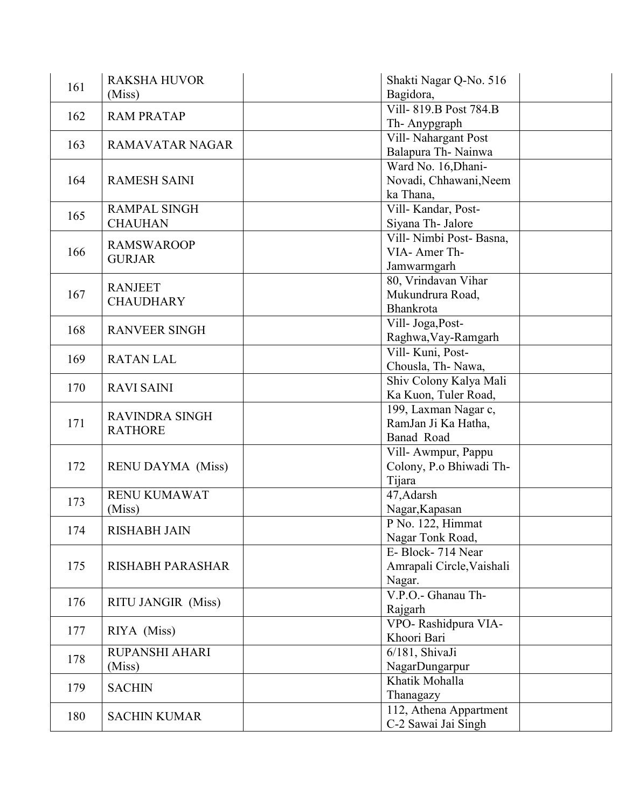| 161 | <b>RAKSHA HUVOR</b>       | Shakti Nagar Q-No. 516                         |
|-----|---------------------------|------------------------------------------------|
|     | (Miss)                    | Bagidora,                                      |
| 162 | <b>RAM PRATAP</b>         | Vill-819.B Post 784.B                          |
|     |                           | Th-Anypgraph                                   |
| 163 | <b>RAMAVATAR NAGAR</b>    | Vill-Nahargant Post                            |
|     |                           | Balapura Th-Nainwa                             |
|     |                           | Ward No. 16, Dhani-                            |
| 164 | <b>RAMESH SAINI</b>       | Novadi, Chhawani, Neem                         |
|     |                           | ka Thana,                                      |
| 165 | <b>RAMPAL SINGH</b>       | Vill-Kandar, Post-                             |
|     | <b>CHAUHAN</b>            | Siyana Th- Jalore                              |
|     | <b>RAMSWAROOP</b>         | Vill-Nimbi Post-Basna,                         |
| 166 | <b>GURJAR</b>             | VIA-AmerTh-                                    |
|     |                           | Jamwarmgarh                                    |
|     | <b>RANJEET</b>            | 80, Vrindavan Vihar                            |
| 167 | <b>CHAUDHARY</b>          | Mukundrura Road,                               |
|     |                           | Bhankrota                                      |
| 168 | <b>RANVEER SINGH</b>      | Vill- Joga, Post-                              |
|     |                           | Raghwa, Vay-Ramgarh                            |
| 169 | <b>RATAN LAL</b>          | Vill-Kuni, Post-                               |
|     |                           | Chousla, Th-Nawa,                              |
| 170 | <b>RAVI SAINI</b>         | Shiv Colony Kalya Mali<br>Ka Kuon, Tuler Road, |
|     |                           |                                                |
| 171 | <b>RAVINDRA SINGH</b>     | 199, Laxman Nagar c,<br>RamJan Ji Ka Hatha,    |
|     | <b>RATHORE</b>            | Banad Road                                     |
|     |                           | Vill-Awmpur, Pappu                             |
| 172 | <b>RENU DAYMA</b> (Miss)  | Colony, P.o Bhiwadi Th-                        |
|     |                           | Tijara                                         |
|     | RENU KUMAWAT              | 47, Adarsh                                     |
| 173 | (Miss)                    | Nagar, Kapasan                                 |
|     |                           | P No. 122, Himmat                              |
| 174 | <b>RISHABH JAIN</b>       | Nagar Tonk Road,                               |
|     |                           | E-Block-714 Near                               |
| 175 | <b>RISHABH PARASHAR</b>   | Amrapali Circle, Vaishali                      |
|     |                           | Nagar.                                         |
|     |                           | V.P.O.- Ghanau Th-                             |
| 176 | <b>RITU JANGIR (Miss)</b> | Rajgarh                                        |
|     |                           | VPO-Rashidpura VIA-                            |
| 177 | RIYA (Miss)               | Khoori Bari                                    |
|     | <b>RUPANSHI AHARI</b>     | 6/181, ShivaJi                                 |
| 178 | (Miss)                    | NagarDungarpur                                 |
|     |                           | Khatik Mohalla                                 |
| 179 | <b>SACHIN</b>             | Thanagazy                                      |
|     |                           | 112, Athena Appartment                         |
| 180 | <b>SACHIN KUMAR</b>       |                                                |
|     |                           | C-2 Sawai Jai Singh                            |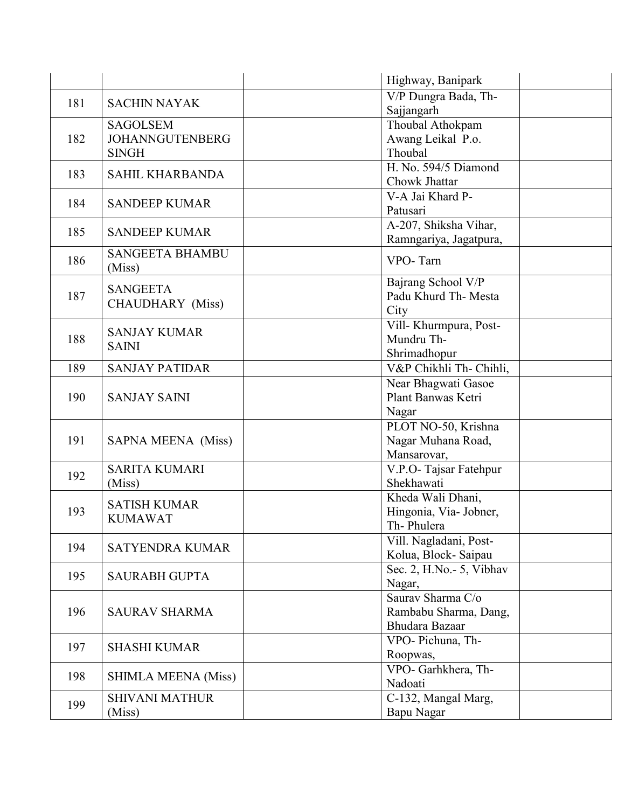|     |                            | Highway, Banipark         |  |
|-----|----------------------------|---------------------------|--|
|     |                            | V/P Dungra Bada, Th-      |  |
| 181 | <b>SACHIN NAYAK</b>        | Sajjangarh                |  |
|     | <b>SAGOLSEM</b>            | Thoubal Athokpam          |  |
| 182 | <b>JOHANNGUTENBERG</b>     | Awang Leikal P.o.         |  |
|     | <b>SINGH</b>               | Thoubal                   |  |
|     |                            | H. No. 594/5 Diamond      |  |
| 183 | <b>SAHIL KHARBANDA</b>     | Chowk Jhattar             |  |
|     |                            | V-A Jai Khard P-          |  |
| 184 | <b>SANDEEP KUMAR</b>       | Patusari                  |  |
|     |                            | A-207, Shiksha Vihar,     |  |
| 185 | <b>SANDEEP KUMAR</b>       | Ramngariya, Jagatpura,    |  |
|     | <b>SANGEETA BHAMBU</b>     |                           |  |
| 186 | (Miss)                     | VPO-Tarn                  |  |
|     |                            | Bajrang School V/P        |  |
| 187 | <b>SANGEETA</b>            | Padu Khurd Th- Mesta      |  |
|     | <b>CHAUDHARY</b> (Miss)    | City                      |  |
|     |                            | Vill-Khurmpura, Post-     |  |
| 188 | <b>SANJAY KUMAR</b>        | Mundru Th-                |  |
|     | <b>SAINI</b>               | Shrimadhopur              |  |
| 189 | <b>SANJAY PATIDAR</b>      | V&P Chikhli Th- Chihli,   |  |
|     |                            | Near Bhagwati Gasoe       |  |
| 190 | <b>SANJAY SAINI</b>        | Plant Banwas Ketri        |  |
|     |                            | Nagar                     |  |
|     |                            | PLOT NO-50, Krishna       |  |
| 191 | SAPNA MEENA (Miss)         | Nagar Muhana Road,        |  |
|     |                            | Mansarovar,               |  |
|     | <b>SARITA KUMARI</b>       | V.P.O-Tajsar Fatehpur     |  |
| 192 | (Miss)                     | Shekhawati                |  |
|     |                            | Kheda Wali Dhani,         |  |
| 193 | <b>SATISH KUMAR</b>        | Hingonia, Via- Jobner,    |  |
|     | <b>KUMAWAT</b>             | Th-Phulera                |  |
|     |                            | Vill. Nagladani, Post-    |  |
| 194 | <b>SATYENDRA KUMAR</b>     | Kolua, Block-Saipau       |  |
|     |                            | Sec. 2, H.No. - 5, Vibhav |  |
| 195 | <b>SAURABH GUPTA</b>       | Nagar,                    |  |
|     |                            | Saurav Sharma C/o         |  |
| 196 | <b>SAURAV SHARMA</b>       | Rambabu Sharma, Dang,     |  |
|     |                            | Bhudara Bazaar            |  |
|     |                            | VPO- Pichuna, Th-         |  |
| 197 | <b>SHASHI KUMAR</b>        | Roopwas,                  |  |
|     |                            | VPO- Garhkhera, Th-       |  |
| 198 | <b>SHIMLA MEENA (Miss)</b> | Nadoati                   |  |
|     | <b>SHIVANI MATHUR</b>      | C-132, Mangal Marg,       |  |
| 199 | (Miss)                     | Bapu Nagar                |  |
|     |                            |                           |  |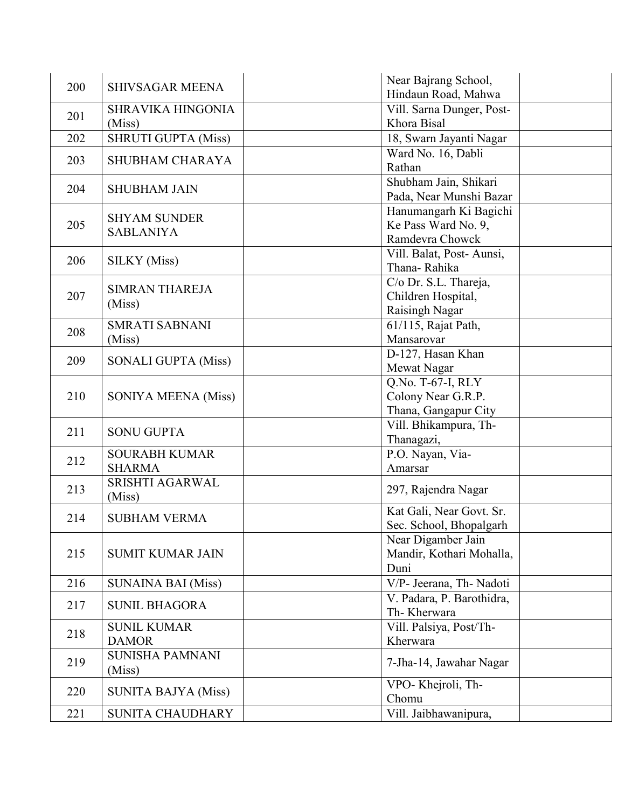| Hindaun Road, Mahwa<br>Vill. Sarna Dunger, Post-<br><b>SHRAVIKA HINGONIA</b><br>201<br>Khora Bisal<br>(Miss) |  |
|--------------------------------------------------------------------------------------------------------------|--|
|                                                                                                              |  |
|                                                                                                              |  |
| <b>SHRUTI GUPTA (Miss)</b><br>202                                                                            |  |
| 18, Swarn Jayanti Nagar                                                                                      |  |
| Ward No. 16, Dabli<br><b>SHUBHAM CHARAYA</b><br>203                                                          |  |
| Rathan                                                                                                       |  |
| Shubham Jain, Shikari<br>204<br><b>SHUBHAM JAIN</b>                                                          |  |
| Pada, Near Munshi Bazar                                                                                      |  |
| Hanumangarh Ki Bagichi<br><b>SHYAM SUNDER</b>                                                                |  |
| Ke Pass Ward No. 9,<br>205<br><b>SABLANIYA</b>                                                               |  |
| Ramdevra Chowck                                                                                              |  |
| Vill. Balat, Post-Aunsi,<br>206<br><b>SILKY</b> (Miss)                                                       |  |
| Thana-Rahika                                                                                                 |  |
| C/o Dr. S.L. Thareja,<br><b>SIMRAN THAREJA</b>                                                               |  |
| 207<br>Children Hospital,<br>(Miss)                                                                          |  |
| Raisingh Nagar                                                                                               |  |
| <b>SMRATI SABNANI</b><br>61/115, Rajat Path,<br>208                                                          |  |
| Mansarovar<br>(Miss)                                                                                         |  |
| D-127, Hasan Khan<br>209<br><b>SONALI GUPTA (Miss)</b>                                                       |  |
| Mewat Nagar                                                                                                  |  |
| $\overline{Q.No. T-67}$ -I, RLY                                                                              |  |
| 210<br>Colony Near G.R.P.<br><b>SONIYA MEENA (Miss)</b>                                                      |  |
| Thana, Gangapur City                                                                                         |  |
| Vill. Bhikampura, Th-<br>211<br><b>SONU GUPTA</b>                                                            |  |
| Thanagazi,                                                                                                   |  |
| P.O. Nayan, Via-<br><b>SOURABH KUMAR</b><br>212                                                              |  |
| <b>SHARMA</b><br>Amarsar                                                                                     |  |
| <b>SRISHTI AGARWAL</b><br>213<br>297, Rajendra Nagar                                                         |  |
| (Miss)                                                                                                       |  |
| Kat Gali, Near Govt. Sr.<br>214<br><b>SUBHAM VERMA</b>                                                       |  |
| Sec. School, Bhopalgarh                                                                                      |  |
| Near Digamber Jain                                                                                           |  |
| Mandir, Kothari Mohalla,<br>215<br><b>SUMIT KUMAR JAIN</b>                                                   |  |
| Duni                                                                                                         |  |
| <b>SUNAINA BAI (Miss)</b><br>V/P- Jeerana, Th- Nadoti<br>216                                                 |  |
| V. Padara, P. Barothidra,                                                                                    |  |
| <b>SUNIL BHAGORA</b><br>217<br>Th-Kherwara                                                                   |  |
| Vill. Palsiya, Post/Th-<br><b>SUNIL KUMAR</b>                                                                |  |
| 218<br><b>DAMOR</b><br>Kherwara                                                                              |  |
| <b>SUNISHA PAMNANI</b>                                                                                       |  |
| 219<br>7-Jha-14, Jawahar Nagar<br>(Miss)                                                                     |  |
| VPO-Khejroli, Th-                                                                                            |  |
| 220<br><b>SUNITA BAJYA (Miss)</b><br>Chomu                                                                   |  |
| Vill. Jaibhawanipura,<br>221<br><b>SUNITA CHAUDHARY</b>                                                      |  |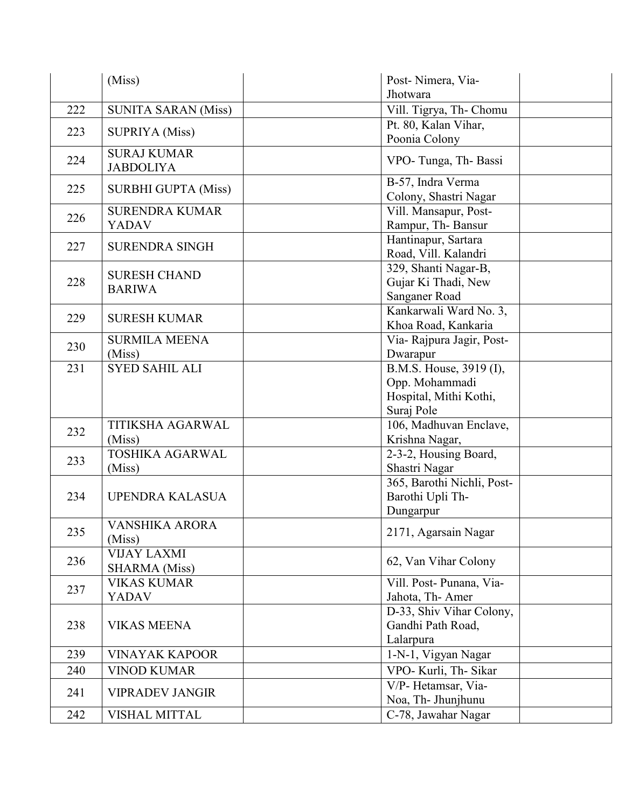|     | (Miss)                                     | Post-Nimera, Via-                                                                 |
|-----|--------------------------------------------|-----------------------------------------------------------------------------------|
| 222 | <b>SUNITA SARAN (Miss)</b>                 | Jhotwara                                                                          |
|     |                                            | Vill. Tigrya, Th- Chomu                                                           |
| 223 | <b>SUPRIYA</b> (Miss)                      | Pt. 80, Kalan Vihar,<br>Poonia Colony                                             |
| 224 | <b>SURAJ KUMAR</b><br><b>JABDOLIYA</b>     | VPO-Tunga, Th-Bassi                                                               |
| 225 | <b>SURBHI GUPTA (Miss)</b>                 | B-57, Indra Verma<br>Colony, Shastri Nagar                                        |
| 226 | <b>SURENDRA KUMAR</b><br><b>YADAV</b>      | Vill. Mansapur, Post-<br>Rampur, Th-Bansur                                        |
| 227 | <b>SURENDRA SINGH</b>                      | Hantinapur, Sartara<br>Road, Vill. Kalandri                                       |
| 228 | <b>SURESH CHAND</b><br><b>BARIWA</b>       | 329, Shanti Nagar-B,<br>Gujar Ki Thadi, New<br>Sanganer Road                      |
| 229 | <b>SURESH KUMAR</b>                        | Kankarwali Ward No. 3,<br>Khoa Road, Kankaria                                     |
| 230 | <b>SURMILA MEENA</b><br>(Miss)             | Via-Rajpura Jagir, Post-<br>Dwarapur                                              |
| 231 | <b>SYED SAHIL ALI</b>                      | B.M.S. House, 3919 (I),<br>Opp. Mohammadi<br>Hospital, Mithi Kothi,<br>Suraj Pole |
| 232 | <b>TITIKSHA AGARWAL</b><br>(Miss)          | 106, Madhuvan Enclave,<br>Krishna Nagar,                                          |
| 233 | <b>TOSHIKA AGARWAL</b><br>(Miss)           | 2-3-2, Housing Board,<br>Shastri Nagar                                            |
| 234 | UPENDRA KALASUA                            | 365, Barothi Nichli, Post-<br>Barothi Upli Th-<br>Dungarpur                       |
| 235 | VANSHIKA ARORA<br>(Miss)                   | 2171, Agarsain Nagar                                                              |
| 236 | <b>VIJAY LAXMI</b><br><b>SHARMA</b> (Miss) | 62, Van Vihar Colony                                                              |
| 237 | <b>VIKAS KUMAR</b><br><b>YADAV</b>         | Vill. Post-Punana, Via-<br>Jahota, Th-Amer                                        |
| 238 | <b>VIKAS MEENA</b>                         | D-33, Shiv Vihar Colony,<br>Gandhi Path Road,<br>Lalarpura                        |
| 239 | <b>VINAYAK KAPOOR</b>                      | 1-N-1, Vigyan Nagar                                                               |
| 240 | <b>VINOD KUMAR</b>                         | VPO- Kurli, Th- Sikar                                                             |
| 241 | <b>VIPRADEV JANGIR</b>                     | V/P-Hetamsar, Via-<br>Noa, Th- Jhunjhunu                                          |
| 242 | <b>VISHAL MITTAL</b>                       | C-78, Jawahar Nagar                                                               |